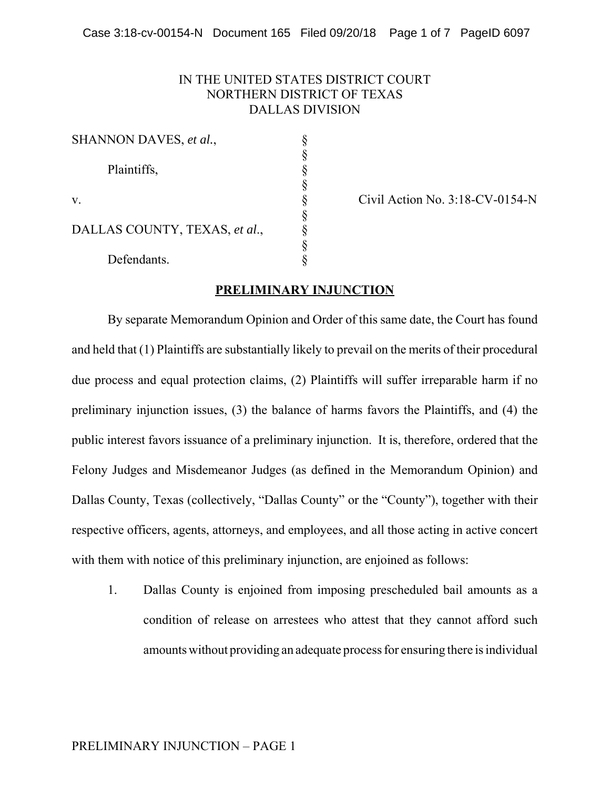## IN THE UNITED STATES DISTRICT COURT NORTHERN DISTRICT OF TEXAS DALLAS DIVISION

| SHANNON DAVES, et al.,        |  |
|-------------------------------|--|
|                               |  |
| Plaintiffs,                   |  |
|                               |  |
| v.                            |  |
| DALLAS COUNTY, TEXAS, et al., |  |
|                               |  |
|                               |  |
| Defendants.                   |  |

Civil Action No.  $3:18$ -CV-0154-N

## **PRELIMINARY INJUNCTION**

By separate Memorandum Opinion and Order of this same date, the Court has found and held that (1) Plaintiffs are substantially likely to prevail on the merits of their procedural due process and equal protection claims, (2) Plaintiffs will suffer irreparable harm if no preliminary injunction issues, (3) the balance of harms favors the Plaintiffs, and (4) the public interest favors issuance of a preliminary injunction. It is, therefore, ordered that the Felony Judges and Misdemeanor Judges (as defined in the Memorandum Opinion) and Dallas County, Texas (collectively, "Dallas County" or the "County"), together with their respective officers, agents, attorneys, and employees, and all those acting in active concert with them with notice of this preliminary injunction, are enjoined as follows:

1. Dallas County is enjoined from imposing prescheduled bail amounts as a condition of release on arrestees who attest that they cannot afford such amounts without providing an adequate process for ensuring there is individual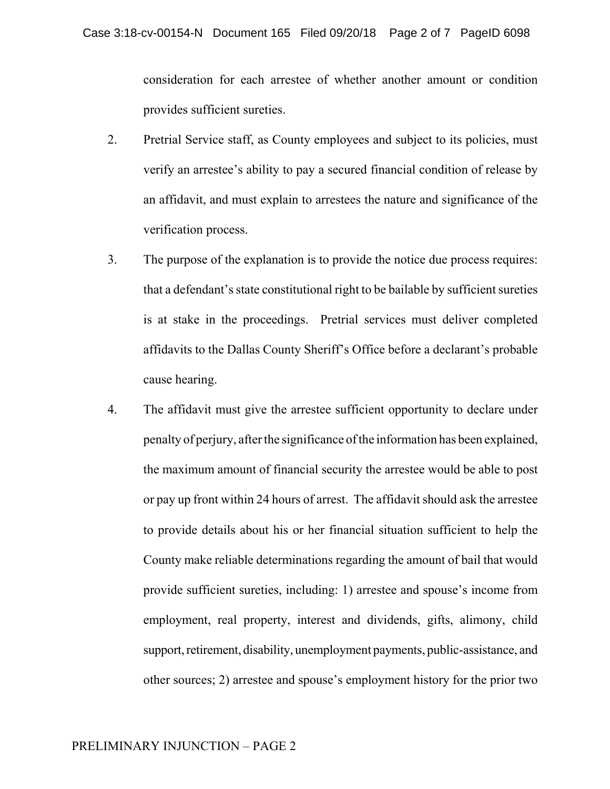consideration for each arrestee of whether another amount or condition provides sufficient sureties.

- 2. Pretrial Service staff, as County employees and subject to its policies, must verify an arrestee's ability to pay a secured financial condition of release by an affidavit, and must explain to arrestees the nature and significance of the verification process.
- 3. The purpose of the explanation is to provide the notice due process requires: that a defendant's state constitutional right to be bailable by sufficient sureties is at stake in the proceedings. Pretrial services must deliver completed affidavits to the Dallas County Sheriff's Office before a declarant's probable cause hearing.
- 4. The affidavit must give the arrestee sufficient opportunity to declare under penalty of perjury, after the significance of the information has been explained, the maximum amount of financial security the arrestee would be able to post or pay up front within 24 hours of arrest. The affidavit should ask the arrestee to provide details about his or her financial situation sufficient to help the County make reliable determinations regarding the amount of bail that would provide sufficient sureties, including: 1) arrestee and spouse's income from employment, real property, interest and dividends, gifts, alimony, child support, retirement, disability, unemployment payments, public-assistance, and other sources; 2) arrestee and spouse's employment history for the prior two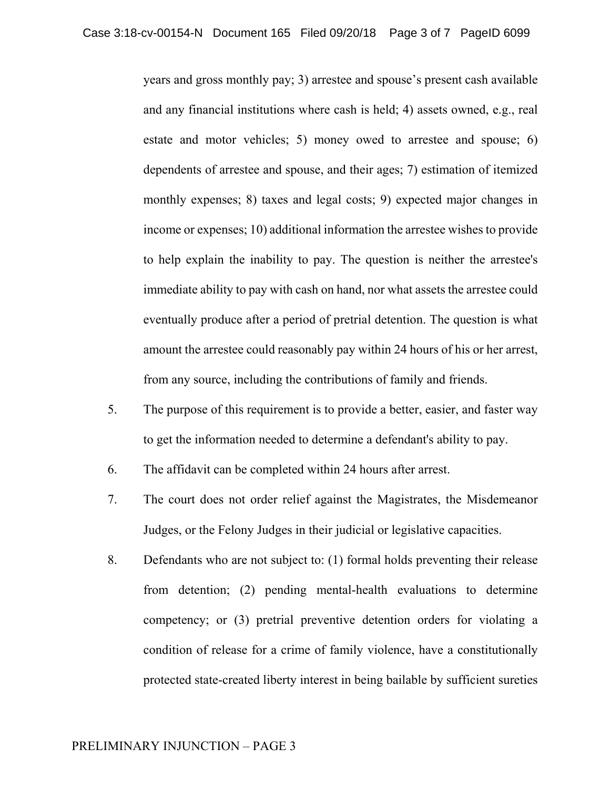years and gross monthly pay; 3) arrestee and spouse's present cash available and any financial institutions where cash is held; 4) assets owned, e.g., real estate and motor vehicles; 5) money owed to arrestee and spouse; 6) dependents of arrestee and spouse, and their ages; 7) estimation of itemized monthly expenses; 8) taxes and legal costs; 9) expected major changes in income or expenses; 10) additional information the arrestee wishes to provide to help explain the inability to pay. The question is neither the arrestee's immediate ability to pay with cash on hand, nor what assets the arrestee could eventually produce after a period of pretrial detention. The question is what amount the arrestee could reasonably pay within 24 hours of his or her arrest, from any source, including the contributions of family and friends.

- 5. The purpose of this requirement is to provide a better, easier, and faster way to get the information needed to determine a defendant's ability to pay.
- 6. The affidavit can be completed within 24 hours after arrest.
- 7. The court does not order relief against the Magistrates, the Misdemeanor Judges, or the Felony Judges in their judicial or legislative capacities.
- 8. Defendants who are not subject to: (1) formal holds preventing their release from detention; (2) pending mental-health evaluations to determine competency; or (3) pretrial preventive detention orders for violating a condition of release for a crime of family violence, have a constitutionally protected state-created liberty interest in being bailable by sufficient sureties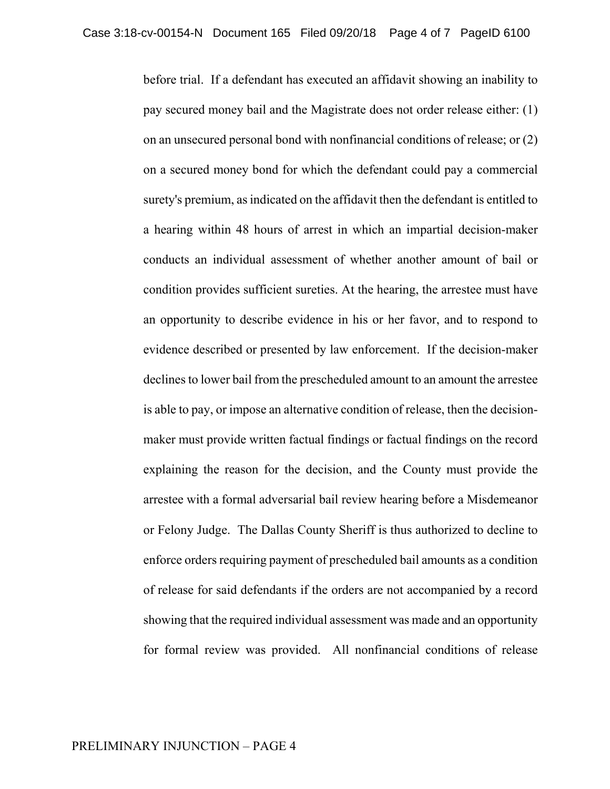before trial. If a defendant has executed an affidavit showing an inability to pay secured money bail and the Magistrate does not order release either: (1) on an unsecured personal bond with nonfinancial conditions of release; or (2) on a secured money bond for which the defendant could pay a commercial surety's premium, as indicated on the affidavit then the defendant is entitled to a hearing within 48 hours of arrest in which an impartial decision-maker conducts an individual assessment of whether another amount of bail or condition provides sufficient sureties. At the hearing, the arrestee must have an opportunity to describe evidence in his or her favor, and to respond to evidence described or presented by law enforcement. If the decision-maker declines to lower bail from the prescheduled amount to an amount the arrestee is able to pay, or impose an alternative condition of release, then the decisionmaker must provide written factual findings or factual findings on the record explaining the reason for the decision, and the County must provide the arrestee with a formal adversarial bail review hearing before a Misdemeanor or Felony Judge. The Dallas County Sheriff is thus authorized to decline to enforce orders requiring payment of prescheduled bail amounts as a condition of release for said defendants if the orders are not accompanied by a record showing that the required individual assessment was made and an opportunity for formal review was provided. All nonfinancial conditions of release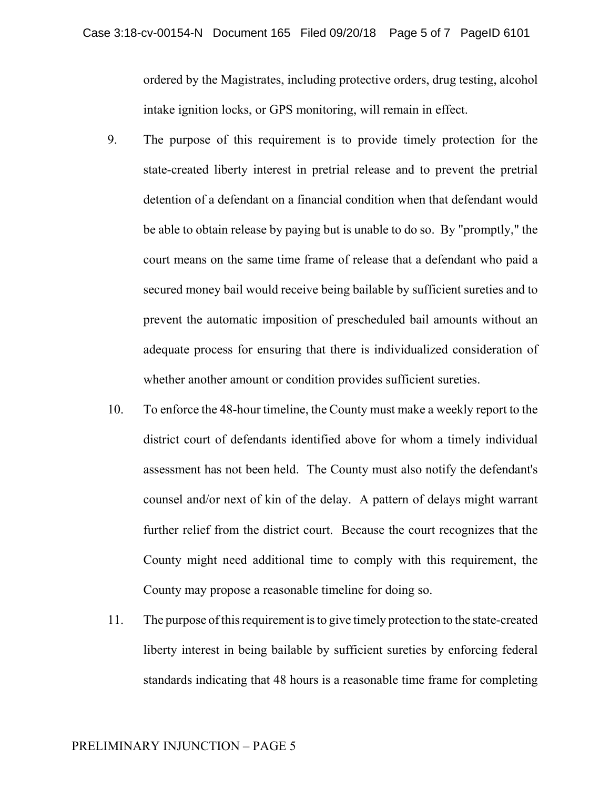ordered by the Magistrates, including protective orders, drug testing, alcohol intake ignition locks, or GPS monitoring, will remain in effect.

- 9. The purpose of this requirement is to provide timely protection for the state-created liberty interest in pretrial release and to prevent the pretrial detention of a defendant on a financial condition when that defendant would be able to obtain release by paying but is unable to do so. By "promptly," the court means on the same time frame of release that a defendant who paid a secured money bail would receive being bailable by sufficient sureties and to prevent the automatic imposition of prescheduled bail amounts without an adequate process for ensuring that there is individualized consideration of whether another amount or condition provides sufficient sureties.
- 10. To enforce the 48-hour timeline, the County must make a weekly report to the district court of defendants identified above for whom a timely individual assessment has not been held. The County must also notify the defendant's counsel and/or next of kin of the delay. A pattern of delays might warrant further relief from the district court. Because the court recognizes that the County might need additional time to comply with this requirement, the County may propose a reasonable timeline for doing so.
- 11. The purpose of this requirement is to give timely protection to the state-created liberty interest in being bailable by sufficient sureties by enforcing federal standards indicating that 48 hours is a reasonable time frame for completing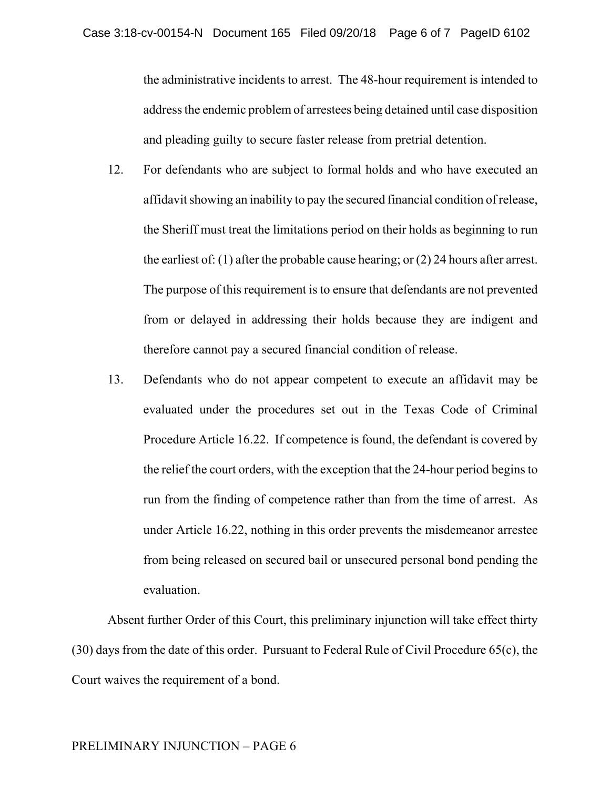the administrative incidents to arrest. The 48-hour requirement is intended to address the endemic problem of arrestees being detained until case disposition and pleading guilty to secure faster release from pretrial detention.

- 12. For defendants who are subject to formal holds and who have executed an affidavit showing an inability to pay the secured financial condition of release, the Sheriff must treat the limitations period on their holds as beginning to run the earliest of: (1) after the probable cause hearing; or (2) 24 hours after arrest. The purpose of this requirement is to ensure that defendants are not prevented from or delayed in addressing their holds because they are indigent and therefore cannot pay a secured financial condition of release.
- 13. Defendants who do not appear competent to execute an affidavit may be evaluated under the procedures set out in the Texas Code of Criminal Procedure Article 16.22. If competence is found, the defendant is covered by the relief the court orders, with the exception that the 24-hour period begins to run from the finding of competence rather than from the time of arrest. As under Article 16.22, nothing in this order prevents the misdemeanor arrestee from being released on secured bail or unsecured personal bond pending the evaluation.

Absent further Order of this Court, this preliminary injunction will take effect thirty (30) days from the date of this order. Pursuant to Federal Rule of Civil Procedure 65(c), the Court waives the requirement of a bond.